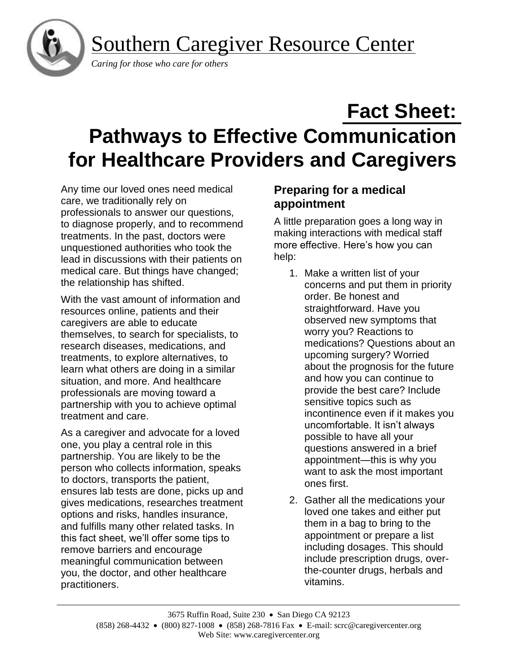Southern Caregiver Resource Center



 *Caring for those who care for others*

# **Fact Sheet: Pathways to Effective Communication for Healthcare Providers and Caregivers**

Any time our loved ones need medical care, we traditionally rely on professionals to answer our questions, to diagnose properly, and to recommend treatments. In the past, doctors were unquestioned authorities who took the lead in discussions with their patients on medical care. But things have changed; the relationship has shifted.

With the vast amount of information and resources online, patients and their caregivers are able to educate themselves, to search for specialists, to research diseases, medications, and treatments, to explore alternatives, to learn what others are doing in a similar situation, and more. And healthcare professionals are moving toward a partnership with you to achieve optimal treatment and care.

As a caregiver and advocate for a loved one, you play a central role in this partnership. You are likely to be the person who collects information, speaks to doctors, transports the patient, ensures lab tests are done, picks up and gives medications, researches treatment options and risks, handles insurance, and fulfills many other related tasks. In this fact sheet, we'll offer some tips to remove barriers and encourage meaningful communication between you, the doctor, and other healthcare practitioners.

# **Preparing for a medical appointment**

A little preparation goes a long way in making interactions with medical staff more effective. Here's how you can help:

- 1. Make a written list of your concerns and put them in priority order. Be honest and straightforward. Have you observed new symptoms that worry you? Reactions to medications? Questions about an upcoming surgery? Worried about the prognosis for the future and how you can continue to provide the best care? Include sensitive topics such as incontinence even if it makes you uncomfortable. It isn't always possible to have all your questions answered in a brief appointment—this is why you want to ask the most important ones first.
- 2. Gather all the medications your loved one takes and either put them in a bag to bring to the appointment or prepare a list including dosages. This should include prescription drugs, overthe-counter drugs, herbals and vitamins.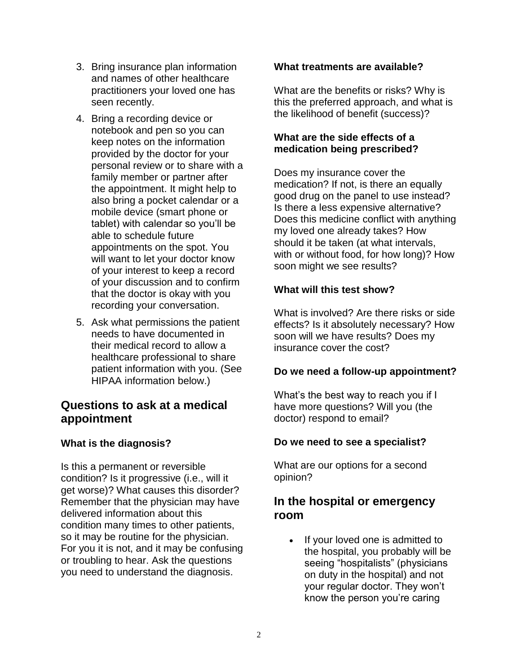- 3. Bring insurance plan information and names of other healthcare practitioners your loved one has seen recently.
- 4. Bring a recording device or notebook and pen so you can keep notes on the information provided by the doctor for your personal review or to share with a family member or partner after the appointment. It might help to also bring a pocket calendar or a mobile device (smart phone or tablet) with calendar so you'll be able to schedule future appointments on the spot. You will want to let your doctor know of your interest to keep a record of your discussion and to confirm that the doctor is okay with you recording your conversation.
- 5. Ask what permissions the patient needs to have documented in their medical record to allow a healthcare professional to share patient information with you. (See HIPAA information below.)

# **Questions to ask at a medical appointment**

# **What is the diagnosis?**

Is this a permanent or reversible condition? Is it progressive (i.e., will it get worse)? What causes this disorder? Remember that the physician may have delivered information about this condition many times to other patients, so it may be routine for the physician. For you it is not, and it may be confusing or troubling to hear. Ask the questions you need to understand the diagnosis.

#### **What treatments are available?**

What are the benefits or risks? Why is this the preferred approach, and what is the likelihood of benefit (success)?

## **What are the side effects of a medication being prescribed?**

Does my insurance cover the medication? If not, is there an equally good drug on the panel to use instead? Is there a less expensive alternative? Does this medicine conflict with anything my loved one already takes? How should it be taken (at what intervals, with or without food, for how long)? How soon might we see results?

## **What will this test show?**

What is involved? Are there risks or side effects? Is it absolutely necessary? How soon will we have results? Does my insurance cover the cost?

## **Do we need a follow-up appointment?**

What's the best way to reach you if I have more questions? Will you (the doctor) respond to email?

## **Do we need to see a specialist?**

What are our options for a second opinion?

# **In the hospital or emergency room**

• If your loved one is admitted to the hospital, you probably will be seeing "hospitalists" (physicians on duty in the hospital) and not your regular doctor. They won't know the person you're caring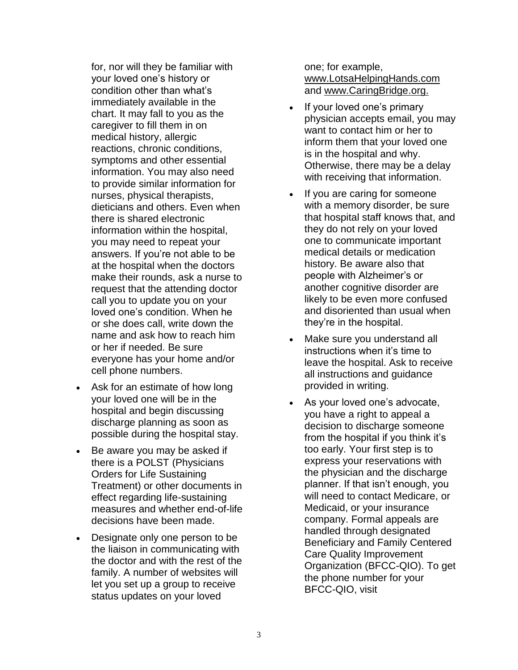for, nor will they be familiar with your loved one's history or condition other than what's immediately available in the chart. It may fall to you as the caregiver to fill them in on medical history, allergic reactions, chronic conditions, symptoms and other essential information. You may also need to provide similar information for nurses, physical therapists, dieticians and others. Even when there is shared electronic information within the hospital, you may need to repeat your answers. If you're not able to be at the hospital when the doctors make their rounds, ask a nurse to request that the attending doctor call you to update you on your loved one's condition. When he or she does call, write down the name and ask how to reach him or her if needed. Be sure everyone has your home and/or cell phone numbers.

- Ask for an estimate of how long your loved one will be in the hospital and begin discussing discharge planning as soon as possible during the hospital stay.
- Be aware you may be asked if there is a POLST (Physicians Orders for Life Sustaining Treatment) or other documents in effect regarding life-sustaining measures and whether end-of-life decisions have been made.
- Designate only one person to be the liaison in communicating with the doctor and with the rest of the family. A number of websites will let you set up a group to receive status updates on your loved

one; for example, [www.LotsaHelpingHands.com](http://www.lotsahelpinghands.com/) and [www.CaringBridge.org.](http://www.caringbridge.org/)

- If your loved one's primary physician accepts email, you may want to contact him or her to inform them that your loved one is in the hospital and why. Otherwise, there may be a delay with receiving that information.
- If you are caring for someone with a memory disorder, be sure that hospital staff knows that, and they do not rely on your loved one to communicate important medical details or medication history. Be aware also that people with Alzheimer's or another cognitive disorder are likely to be even more confused and disoriented than usual when they're in the hospital.
- Make sure you understand all instructions when it's time to leave the hospital. Ask to receive all instructions and guidance provided in writing.
- As your loved one's advocate, you have a right to appeal a decision to discharge someone from the hospital if you think it's too early. Your first step is to express your reservations with the physician and the discharge planner. If that isn't enough, you will need to contact Medicare, or Medicaid, or your insurance company. Formal appeals are handled through designated Beneficiary and Family Centered Care Quality Improvement Organization (BFCC-QIO). To get the phone number for your BFCC-QIO, visit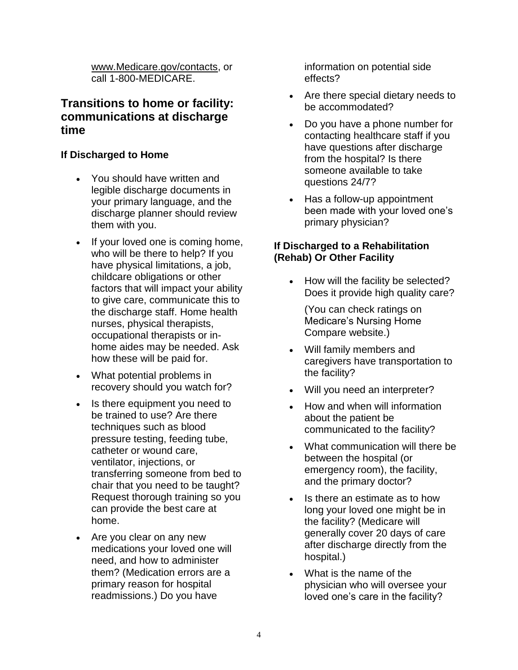[www.Medicare.gov/contacts,](http://www.medicare.gov/contacts) or call 1-800-MEDICARE.

# **Transitions to home or facility: communications at discharge time**

#### **If Discharged to Home**

- You should have written and legible discharge documents in your primary language, and the discharge planner should review them with you.
- If your loved one is coming home, who will be there to help? If you have physical limitations, a job, childcare obligations or other factors that will impact your ability to give care, communicate this to the discharge staff. Home health nurses, physical therapists, occupational therapists or inhome aides may be needed. Ask how these will be paid for.
- What potential problems in recovery should you watch for?
- Is there equipment you need to be trained to use? Are there techniques such as blood pressure testing, feeding tube, catheter or wound care, ventilator, injections, or transferring someone from bed to chair that you need to be taught? Request thorough training so you can provide the best care at home.
- Are you clear on any new medications your loved one will need, and how to administer them? (Medication errors are a primary reason for hospital readmissions.) Do you have

information on potential side effects?

- Are there special dietary needs to be accommodated?
- Do you have a phone number for contacting healthcare staff if you have questions after discharge from the hospital? Is there someone available to take questions 24/7?
- Has a follow-up appointment been made with your loved one's primary physician?

## **If Discharged to a Rehabilitation (Rehab) Or Other Facility**

• How will the facility be selected? Does it provide high quality care?

(You can check ratings on Medicare's Nursing Home Compare website.)

- Will family members and caregivers have transportation to the facility?
- Will you need an interpreter?
- How and when will information about the patient be communicated to the facility?
- What communication will there be between the hospital (or emergency room), the facility, and the primary doctor?
- Is there an estimate as to how long your loved one might be in the facility? (Medicare will generally cover 20 days of care after discharge directly from the hospital.)
- What is the name of the physician who will oversee your loved one's care in the facility?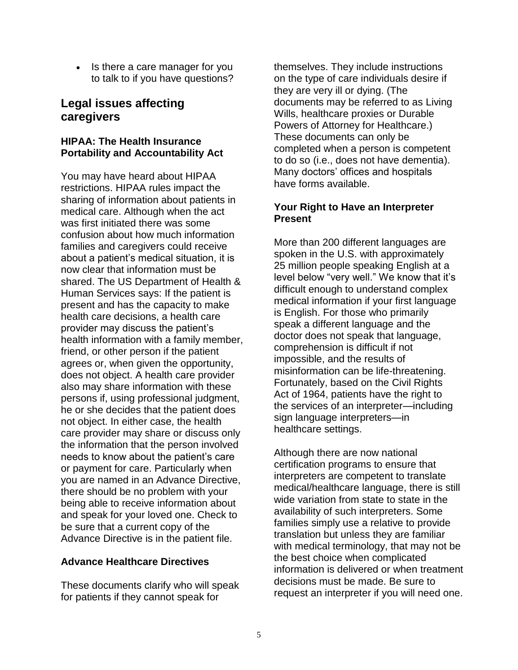• Is there a care manager for you to talk to if you have questions?

# **Legal issues affecting caregivers**

## **HIPAA: The Health Insurance Portability and Accountability Act**

You may have heard about HIPAA restrictions. HIPAA rules impact the sharing of information about patients in medical care. Although when the act was first initiated there was some confusion about how much information families and caregivers could receive about a patient's medical situation, it is now clear that information must be shared. The US Department of Health & Human Services says: If the patient is present and has the capacity to make health care decisions, a health care provider may discuss the patient's health information with a family member, friend, or other person if the patient agrees or, when given the opportunity, does not object. A health care provider also may share information with these persons if, using professional judgment, he or she decides that the patient does not object. In either case, the health care provider may share or discuss only the information that the person involved needs to know about the patient's care or payment for care. Particularly when you are named in an Advance Directive, there should be no problem with your being able to receive information about and speak for your loved one. Check to be sure that a current copy of the Advance Directive is in the patient file.

## **Advance Healthcare Directives**

These documents clarify who will speak for patients if they cannot speak for

themselves. They include instructions on the type of care individuals desire if they are very ill or dying. (The documents may be referred to as Living Wills, healthcare proxies or Durable Powers of Attorney for Healthcare.) These documents can only be completed when a person is competent to do so (i.e., does not have dementia). Many doctors' offices and hospitals have forms available.

#### **Your Right to Have an Interpreter Present**

More than 200 different languages are spoken in the U.S. with approximately 25 million people speaking English at a level below "very well." We know that it's difficult enough to understand complex medical information if your first language is English. For those who primarily speak a different language and the doctor does not speak that language, comprehension is difficult if not impossible, and the results of misinformation can be life-threatening. Fortunately, based on the Civil Rights Act of 1964, patients have the right to the services of an interpreter—including sign language interpreters—in healthcare settings.

Although there are now national certification programs to ensure that interpreters are competent to translate medical/healthcare language, there is still wide variation from state to state in the availability of such interpreters. Some families simply use a relative to provide translation but unless they are familiar with medical terminology, that may not be the best choice when complicated information is delivered or when treatment decisions must be made. Be sure to request an interpreter if you will need one.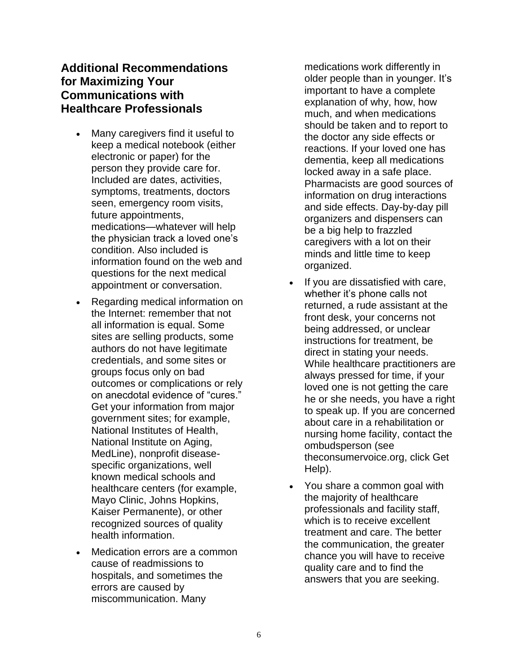# **Additional Recommendations for Maximizing Your Communications with Healthcare Professionals**

- Many caregivers find it useful to keep a medical notebook (either electronic or paper) for the person they provide care for. Included are dates, activities, symptoms, treatments, doctors seen, emergency room visits, future appointments, medications—whatever will help the physician track a loved one's condition. Also included is information found on the web and questions for the next medical appointment or conversation.
- Regarding medical information on the Internet: remember that not all information is equal. Some sites are selling products, some authors do not have legitimate credentials, and some sites or groups focus only on bad outcomes or complications or rely on anecdotal evidence of "cures." Get your information from major government sites; for example, National Institutes of Health, National Institute on Aging, MedLine), nonprofit diseasespecific organizations, well known medical schools and healthcare centers (for example, Mayo Clinic, Johns Hopkins, Kaiser Permanente), or other recognized sources of quality health information.
- Medication errors are a common cause of readmissions to hospitals, and sometimes the errors are caused by miscommunication. Many

medications work differently in older people than in younger. It's important to have a complete explanation of why, how, how much, and when medications should be taken and to report to the doctor any side effects or reactions. If your loved one has dementia, keep all medications locked away in a safe place. Pharmacists are good sources of information on drug interactions and side effects. Day-by-day pill organizers and dispensers can be a big help to frazzled caregivers with a lot on their minds and little time to keep organized.

- If you are dissatisfied with care, whether it's phone calls not returned, a rude assistant at the front desk, your concerns not being addressed, or unclear instructions for treatment, be direct in stating your needs. While healthcare practitioners are always pressed for time, if your loved one is not getting the care he or she needs, you have a right to speak up. If you are concerned about care in a rehabilitation or nursing home facility, contact the ombudsperson (see theconsumervoice.org, click Get Help).
- You share a common goal with the majority of healthcare professionals and facility staff, which is to receive excellent treatment and care. The better the communication, the greater chance you will have to receive quality care and to find the answers that you are seeking.